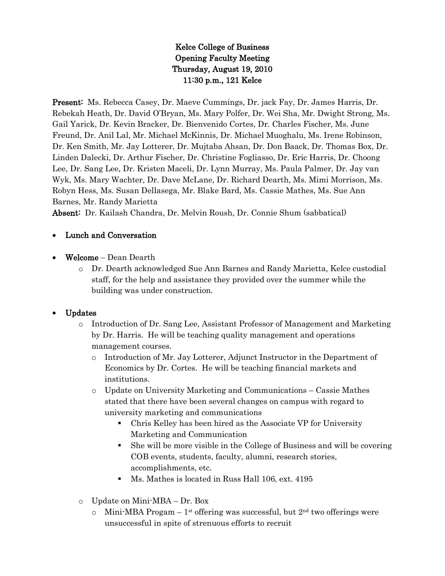# Kelce College of Business Opening Faculty Meeting Thursday, August 19, 2010 11:30 p.m., 121 Kelce

Present: Ms. Rebecca Casey, Dr. Maeve Cummings, Dr. jack Fay, Dr. James Harris, Dr. Rebekah Heath, Dr. David O'Bryan, Ms. Mary Polfer, Dr. Wei Sha, Mr. Dwight Strong, Ms. Gail Yarick, Dr. Kevin Bracker, Dr. Bienvenido Cortes, Dr. Charles Fischer, Ms. June Freund, Dr. Anil Lal, Mr. Michael McKinnis, Dr. Michael Muoghalu, Ms. Irene Robinson, Dr. Ken Smith, Mr. Jay Lotterer, Dr. Mujtaba Ahsan, Dr. Don Baack, Dr. Thomas Box, Dr. Linden Dalecki, Dr. Arthur Fischer, Dr. Christine Fogliasso, Dr. Eric Harris, Dr. Choong Lee, Dr. Sang Lee, Dr. Kristen Maceli, Dr. Lynn Murray, Ms. Paula Palmer, Dr. Jay van Wyk, Ms. Mary Wachter, Dr. Dave McLane, Dr. Richard Dearth, Ms. Mimi Morrison, Ms. Robyn Hess, Ms. Susan Dellasega, Mr. Blake Bard, Ms. Cassie Mathes, Ms. Sue Ann Barnes, Mr. Randy Marietta

Absent: Dr. Kailash Chandra, Dr. Melvin Roush, Dr. Connie Shum (sabbatical)

#### Lunch and Conversation

- Welcome Dean Dearth
	- o Dr. Dearth acknowledged Sue Ann Barnes and Randy Marietta, Kelce custodial staff, for the help and assistance they provided over the summer while the building was under construction.

#### Updates

- o Introduction of Dr. Sang Lee, Assistant Professor of Management and Marketing by Dr. Harris. He will be teaching quality management and operations management courses.
	- o Introduction of Mr. Jay Lotterer, Adjunct Instructor in the Department of Economics by Dr. Cortes. He will be teaching financial markets and institutions.
	- o Update on University Marketing and Communications Cassie Mathes stated that there have been several changes on campus with regard to university marketing and communications
		- Chris Kelley has been hired as the Associate VP for University Marketing and Communication
		- She will be more visible in the College of Business and will be covering COB events, students, faculty, alumni, research stories, accomplishments, etc.
		- Ms. Mathes is located in Russ Hall 106, ext. 4195
- o Update on Mini-MBA Dr. Box
	- $\circ$  Mini-MBA Progam 1<sup>st</sup> offering was successful, but  $2<sup>nd</sup>$  two offerings were unsuccessful in spite of strenuous efforts to recruit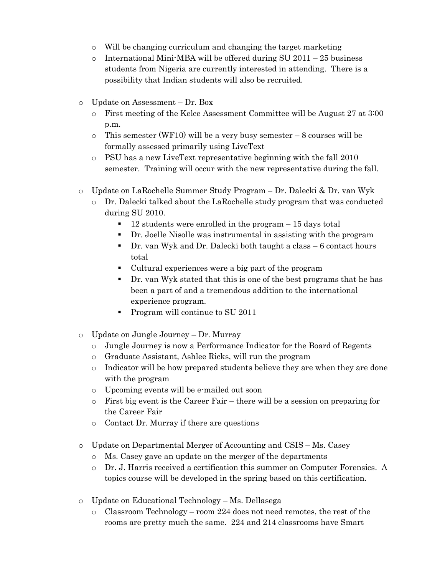- o Will be changing curriculum and changing the target marketing
- $\circ$  International Mini-MBA will be offered during SU 2011 25 business students from Nigeria are currently interested in attending. There is a possibility that Indian students will also be recruited.
- o Update on Assessment Dr. Box
	- o First meeting of the Kelce Assessment Committee will be August 27 at 3:00 p.m.
	- $\circ$  This semester (WF10) will be a very busy semester 8 courses will be formally assessed primarily using LiveText
	- o PSU has a new LiveText representative beginning with the fall 2010 semester. Training will occur with the new representative during the fall.
- o Update on LaRochelle Summer Study Program Dr. Dalecki & Dr. van Wyk
	- o Dr. Dalecki talked about the LaRochelle study program that was conducted during SU 2010.
		- $\blacksquare$  12 students were enrolled in the program  $-15$  days total
		- Dr. Joelle Nisolle was instrumental in assisting with the program
		- Dr. van Wyk and Dr. Dalecki both taught a class 6 contact hours total
		- Cultural experiences were a big part of the program
		- Dr. van Wyk stated that this is one of the best programs that he has been a part of and a tremendous addition to the international experience program.
		- Program will continue to SU 2011
- o Update on Jungle Journey Dr. Murray
	- o Jungle Journey is now a Performance Indicator for the Board of Regents
	- o Graduate Assistant, Ashlee Ricks, will run the program
	- o Indicator will be how prepared students believe they are when they are done with the program
	- o Upcoming events will be e-mailed out soon
	- $\circ$  First big event is the Career Fair there will be a session on preparing for the Career Fair
	- o Contact Dr. Murray if there are questions
- o Update on Departmental Merger of Accounting and CSIS Ms. Casey
	- o Ms. Casey gave an update on the merger of the departments
	- o Dr. J. Harris received a certification this summer on Computer Forensics. A topics course will be developed in the spring based on this certification.
- o Update on Educational Technology Ms. Dellasega
	- o Classroom Technology room 224 does not need remotes, the rest of the rooms are pretty much the same. 224 and 214 classrooms have Smart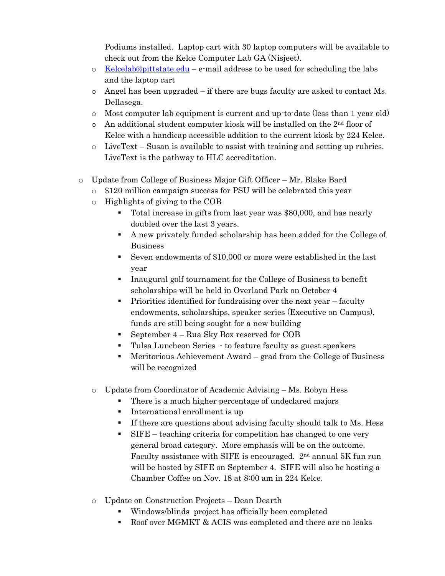Podiums installed. Laptop cart with 30 laptop computers will be available to check out from the Kelce Computer Lab GA (Nisjeet).

- $\circ$  [Kelcelab@pittstate.edu](mailto:Kelcelab@pittstate.edu) e-mail address to be used for scheduling the labs and the laptop cart
- $\circ$  Angel has been upgraded if there are bugs faculty are asked to contact Ms. Dellasega.
- o Most computer lab equipment is current and up-to-date (less than 1 year old)
- $\circ$  An additional student computer kiosk will be installed on the 2<sup>nd</sup> floor of Kelce with a handicap accessible addition to the current kiosk by 224 Kelce.
- o LiveText Susan is available to assist with training and setting up rubrics. LiveText is the pathway to HLC accreditation.
- o Update from College of Business Major Gift Officer Mr. Blake Bard
	- o \$120 million campaign success for PSU will be celebrated this year
	- o Highlights of giving to the COB
		- Total increase in gifts from last year was \$80,000, and has nearly doubled over the last 3 years.
		- A new privately funded scholarship has been added for the College of Business
		- Seven endowments of \$10,000 or more were established in the last year
		- Inaugural golf tournament for the College of Business to benefit scholarships will be held in Overland Park on October 4
		- Priorities identified for fundraising over the next year faculty endowments, scholarships, speaker series (Executive on Campus), funds are still being sought for a new building
		- September 4 Rua Sky Box reserved for COB
		- Tulsa Luncheon Series to feature faculty as guest speakers
		- Meritorious Achievement Award grad from the College of Business will be recognized
	- o Update from Coordinator of Academic Advising Ms. Robyn Hess
		- There is a much higher percentage of undeclared majors
		- **International enrollment is up**
		- If there are questions about advising faculty should talk to Ms. Hess
		- SIFE teaching criteria for competition has changed to one very general broad category. More emphasis will be on the outcome. Faculty assistance with SIFE is encouraged. 2nd annual 5K fun run will be hosted by SIFE on September 4. SIFE will also be hosting a Chamber Coffee on Nov. 18 at 8:00 am in 224 Kelce.
	- o Update on Construction Projects Dean Dearth
		- Windows/blinds project has officially been completed
		- Roof over MGMKT & ACIS was completed and there are no leaks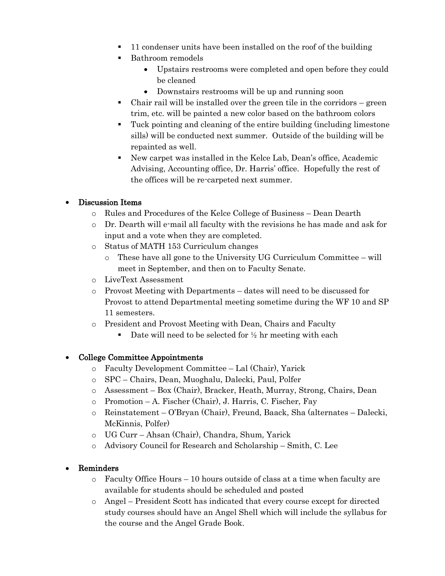- 11 condenser units have been installed on the roof of the building
- **Bathroom remodels** 
	- Upstairs restrooms were completed and open before they could be cleaned
	- Downstairs restrooms will be up and running soon
- Chair rail will be installed over the green tile in the corridors green trim, etc. will be painted a new color based on the bathroom colors
- Tuck pointing and cleaning of the entire building (including limestone sills) will be conducted next summer. Outside of the building will be repainted as well.
- New carpet was installed in the Kelce Lab, Dean's office, Academic Advising, Accounting office, Dr. Harris' office. Hopefully the rest of the offices will be re-carpeted next summer.

## Discussion Items

- o Rules and Procedures of the Kelce College of Business Dean Dearth
- o Dr. Dearth will e-mail all faculty with the revisions he has made and ask for input and a vote when they are completed.
- o Status of MATH 153 Curriculum changes
	- $\circ$  These have all gone to the University UG Curriculum Committee will meet in September, and then on to Faculty Senate.
- o LiveText Assessment
- o Provost Meeting with Departments dates will need to be discussed for Provost to attend Departmental meeting sometime during the WF 10 and SP 11 semesters.
- o President and Provost Meeting with Dean, Chairs and Faculty
	- Date will need to be selected for  $\frac{1}{2}$  hr meeting with each

## College Committee Appointments

- o Faculty Development Committee Lal (Chair), Yarick
- o SPC Chairs, Dean, Muoghalu, Dalecki, Paul, Polfer
- o Assessment Box (Chair), Bracker, Heath, Murray, Strong, Chairs, Dean
- o Promotion A. Fischer (Chair), J. Harris, C. Fischer, Fay
- o Reinstatement O'Bryan (Chair), Freund, Baack, Sha (alternates Dalecki, McKinnis, Polfer)
- o UG Curr Ahsan (Chair), Chandra, Shum, Yarick
- o Advisory Council for Research and Scholarship Smith, C. Lee

## Reminders

- $\circ$  Faculty Office Hours 10 hours outside of class at a time when faculty are available for students should be scheduled and posted
- o Angel President Scott has indicated that every course except for directed study courses should have an Angel Shell which will include the syllabus for the course and the Angel Grade Book.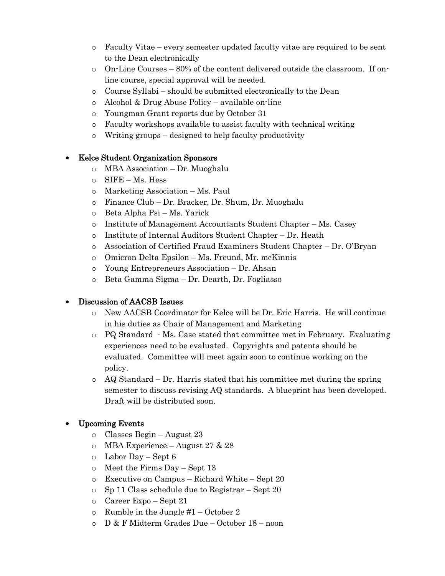- o Faculty Vitae every semester updated faculty vitae are required to be sent to the Dean electronically
- o On-Line Courses 80% of the content delivered outside the classroom. If online course, special approval will be needed.
- o Course Syllabi should be submitted electronically to the Dean
- o Alcohol & Drug Abuse Policy available on-line
- o Youngman Grant reports due by October 31
- o Faculty workshops available to assist faculty with technical writing
- o Writing groups designed to help faculty productivity

#### Kelce Student Organization Sponsors

- o MBA Association Dr. Muoghalu
- o SIFE Ms. Hess
- o Marketing Association Ms. Paul
- o Finance Club Dr. Bracker, Dr. Shum, Dr. Muoghalu
- o Beta Alpha Psi Ms. Yarick
- o Institute of Management Accountants Student Chapter Ms. Casey
- o Institute of Internal Auditors Student Chapter Dr. Heath
- o Association of Certified Fraud Examiners Student Chapter Dr. O'Bryan
- o Omicron Delta Epsilon Ms. Freund, Mr. mcKinnis
- o Young Entrepreneurs Association Dr. Ahsan
- o Beta Gamma Sigma Dr. Dearth, Dr. Fogliasso

## Discussion of AACSB Issues

- o New AACSB Coordinator for Kelce will be Dr. Eric Harris. He will continue in his duties as Chair of Management and Marketing
- $\circ$  PQ Standard  $\cdot$  Ms. Case stated that committee met in February. Evaluating experiences need to be evaluated. Copyrights and patents should be evaluated. Committee will meet again soon to continue working on the policy.
- $\circ$  AQ Standard Dr. Harris stated that his committee met during the spring semester to discuss revising AQ standards. A blueprint has been developed. Draft will be distributed soon.

## Upcoming Events

- o Classes Begin August 23
- o MBA Experience August 27 & 28
- o Labor Day Sept 6
- o Meet the Firms Day Sept 13
- o Executive on Campus Richard White Sept 20
- o Sp 11 Class schedule due to Registrar Sept 20
- o Career Expo Sept 21
- $\circ$  Rumble in the Jungle #1 October 2
- o D & F Midterm Grades Due October 18 noon